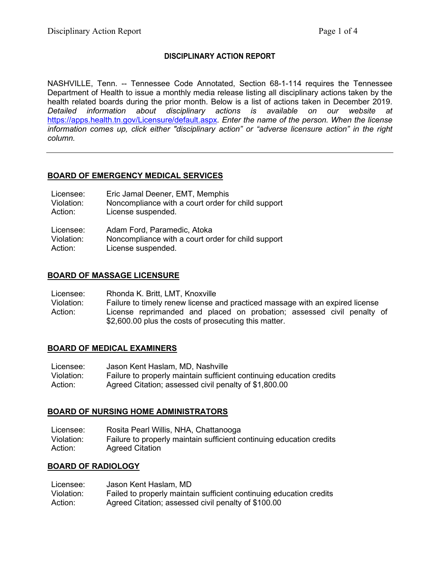#### **DISCIPLINARY ACTION REPORT**

NASHVILLE, Tenn. -- Tennessee Code Annotated, Section 68-1-114 requires the Tennessee Department of Health to issue a monthly media release listing all disciplinary actions taken by the health related boards during the prior month. Below is a list of actions taken in December 2019. *Detailed information about disciplinary actions is available on our website at*  <https://apps.health.tn.gov/Licensure/default.aspx>*. Enter the name of the person. When the license information comes up, click either "disciplinary action" or "adverse licensure action" in the right column.*

#### **BOARD OF EMERGENCY MEDICAL SERVICES**

| Licensee:  | Eric Jamal Deener, EMT, Memphis                    |
|------------|----------------------------------------------------|
| Violation: | Noncompliance with a court order for child support |
| Action:    | License suspended.                                 |
| Licensee:  | Adam Ford, Paramedic, Atoka                        |
| Violation: | Noncompliance with a court order for child support |
| Action:    | License suspended.                                 |

## **BOARD OF MASSAGE LICENSURE**

Licensee: Rhonda K. Britt, LMT, Knoxville

Violation: Failure to timely renew license and practiced massage with an expired license Action: License reprimanded and placed on probation; assessed civil penalty of \$2,600.00 plus the costs of prosecuting this matter.

#### **BOARD OF MEDICAL EXAMINERS**

Licensee: Jason Kent Haslam, MD, Nashville Violation: Failure to properly maintain sufficient continuing education credits Action: Agreed Citation; assessed civil penalty of \$1,800.00

#### **BOARD OF NURSING HOME ADMINISTRATORS**

| Licensee:  | Rosita Pearl Willis, NHA, Chattanooga                                |
|------------|----------------------------------------------------------------------|
| Violation: | Failure to properly maintain sufficient continuing education credits |
| Action:    | <b>Agreed Citation</b>                                               |

#### **BOARD OF RADIOLOGY**

| Licensee:  | Jason Kent Haslam, MD                                               |
|------------|---------------------------------------------------------------------|
| Violation: | Failed to properly maintain sufficient continuing education credits |
| Action:    | Agreed Citation; assessed civil penalty of \$100.00                 |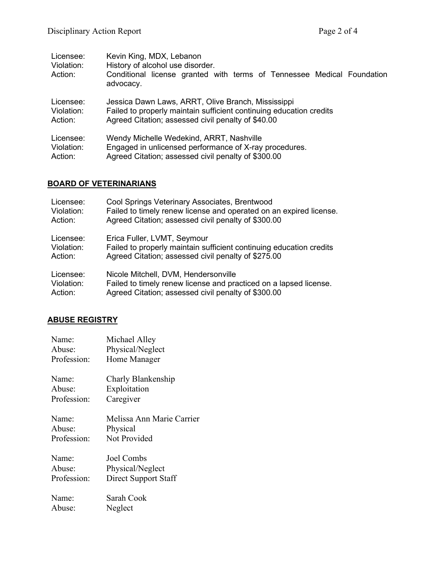| Licensee:<br>Violation:<br>Action: | Kevin King, MDX, Lebanon<br>History of alcohol use disorder.<br>Conditional license granted with terms of Tennessee Medical Foundation<br>advocacy. |
|------------------------------------|-----------------------------------------------------------------------------------------------------------------------------------------------------|
| Licensee:                          | Jessica Dawn Laws, ARRT, Olive Branch, Mississippi                                                                                                  |
| Violation:                         | Failed to properly maintain sufficient continuing education credits                                                                                 |
| Action:                            | Agreed Citation; assessed civil penalty of \$40.00                                                                                                  |
| Licensee:                          | Wendy Michelle Wedekind, ARRT, Nashville                                                                                                            |
| Violation:                         | Engaged in unlicensed performance of X-ray procedures.                                                                                              |
| Action:                            | Agreed Citation; assessed civil penalty of \$300.00                                                                                                 |

# **BOARD OF VETERINARIANS**

| Licensee:  | Cool Springs Veterinary Associates, Brentwood                       |
|------------|---------------------------------------------------------------------|
| Violation: | Failed to timely renew license and operated on an expired license.  |
| Action:    | Agreed Citation; assessed civil penalty of \$300.00                 |
| Licensee:  | Erica Fuller, LVMT, Seymour                                         |
| Violation: | Failed to properly maintain sufficient continuing education credits |
| Action:    | Agreed Citation; assessed civil penalty of \$275.00                 |
| Licensee:  | Nicole Mitchell, DVM, Hendersonville                                |
| Violation: | Failed to timely renew license and practiced on a lapsed license.   |
| Action:    | Agreed Citation; assessed civil penalty of \$300.00                 |

## **ABUSE REGISTRY**

| Name:       | Michael Alley             |
|-------------|---------------------------|
| Abuse:      | Physical/Neglect          |
| Profession: | Home Manager              |
| Name:       | Charly Blankenship        |
| Abuse:      | Exploitation              |
| Profession: | Caregiver                 |
| Name:       | Melissa Ann Marie Carrier |
| Abuse:      | Physical                  |
| Profession: | Not Provided              |
| Name:       | Joel Combs                |
| Abuse:      | Physical/Neglect          |
| Profession: | Direct Support Staff      |
| Name:       | Sarah Cook                |
| Abuse:      | Neglect                   |
|             |                           |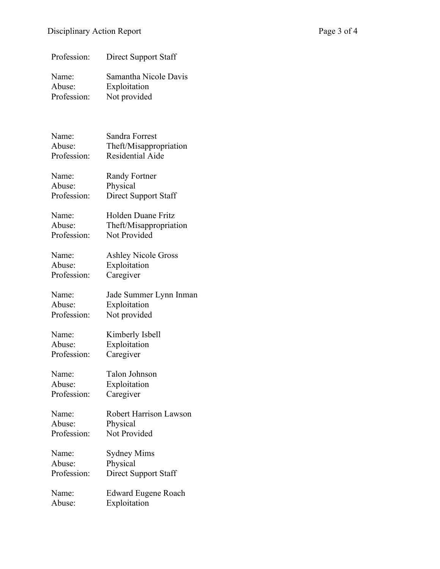| Profession:                    | Direct Support Staff                                  |
|--------------------------------|-------------------------------------------------------|
| Name:<br>Abuse:<br>Profession: | Samantha Nicole Davis<br>Exploitation<br>Not provided |
|                                |                                                       |
| Name:<br>Abuse:                | Sandra Forrest<br>Theft/Misappropriation              |
| Profession:                    | Residential Aide                                      |
| Name:                          | <b>Randy Fortner</b>                                  |
| Abuse:<br>Profession:          | Physical<br>Direct Support Staff                      |
|                                |                                                       |
| Name:                          | Holden Duane Fritz                                    |
| Abuse:<br>Profession:          | Theft/Misappropriation<br>Not Provided                |
|                                |                                                       |
| Name:                          | <b>Ashley Nicole Gross</b>                            |
| Abuse:                         | Exploitation                                          |
| Profession:                    | Caregiver                                             |
| Name:                          | Jade Summer Lynn Inman                                |
| Abuse:                         | Exploitation                                          |
| Profession:                    | Not provided                                          |
| Name:                          | Kimberly Isbell                                       |
| Abuse:                         | Exploitation                                          |
| Profession:                    | Caregiver                                             |
| Name:                          | Talon Johnson                                         |
| Abuse:                         | Exploitation                                          |
| Profession:                    | Caregiver                                             |
| Name:                          | <b>Robert Harrison Lawson</b>                         |
| Abuse:                         | Physical                                              |
| Profession:                    | Not Provided                                          |
| Name:                          | Sydney Mims                                           |
| Abuse:                         | Physical                                              |
| Profession:                    | Direct Support Staff                                  |
| Name:                          | <b>Edward Eugene Roach</b>                            |
| Abuse:                         | Exploitation                                          |